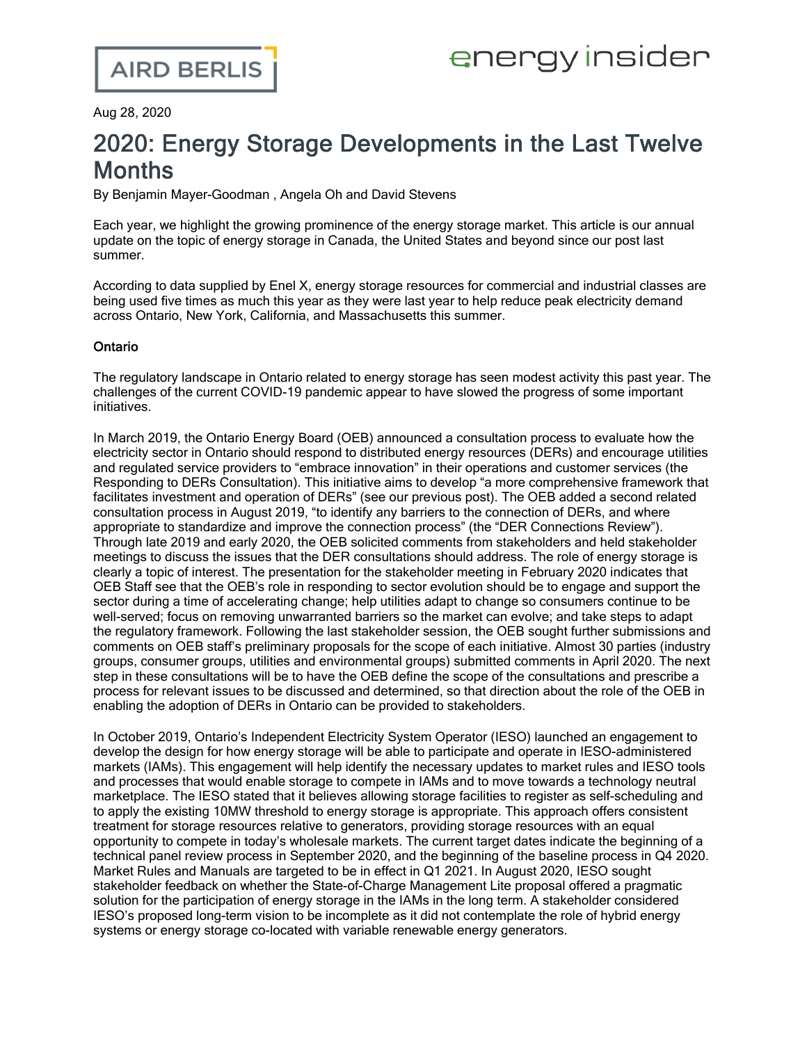Aug 28, 2020

# 2020: Energy Storage Developments in the Last Twelve **Months**

By Benjamin Mayer-Goodman , Angela Oh and David Stevens

Each year, we highlight the growing prominence of the energy storage market. This article is our annual update on the topic of energy storage in Canada, the United States and beyond since our [post](https://www.airdberlis.com/insights/blogs/energyinsider/post/ei-item/2019-energy-storage-developments-in-the-last-twelve-months) last summer.

According to data [supplied](https://www.power-eng.com/2020/08/04/enel-x-na-battery-storage-deployment-up-22-over-2019/#gref) by Enel X, energy storage resources for commercial and industrial classes are being used five times as much this year as they were last year to help reduce peak electricity demand across Ontario, New York, California, and Massachusetts this summer.

### Ontario

The regulatory landscape in Ontario related to energy storage has seen modest activity this past year. The challenges of the current COVID-19 pandemic appear to have slowed the progress of some important initiatives.

In March 2019, the Ontario Energy Board (OEB) announced a consultation process to evaluate how the electricity sector in Ontario should respond to distributed energy resources (DERs) and encourage utilities and regulated service providers to "embrace innovation" in their operations and customer services [\(the](https://www.airdberlis.com/insights/blogs/energyinsider/post/ei-item/oeb-taking-a-refreshed-approach-to-its-der-and-utility-remuneration-consultation) Responding to DERs [Consultation](https://www.airdberlis.com/insights/blogs/energyinsider/post/ei-item/oeb-taking-a-refreshed-approach-to-its-der-and-utility-remuneration-consultation)). This initiative aims to develop "a more comprehensive framework that facilitates investment and operation of DERs" (see our [previous](https://www.airdberlis.com/insights/blogs/energyinsider/post/ei-item/oeb-initiates-consultation-addressing-ders-and-utility-remuneration) post). The OEB added a second related consultation process in August 2019, "to identify any barriers to the connection of DERs, and where appropriate to standardize and improve the connection process" (the "DER [Connections](https://www.airdberlis.com/insights/blogs/energyinsider/post/ei-item/oeb-launches-review-of-electricity-distributors-der-connection-policies) Review"). Through late 2019 and early 2020, the OEB solicited comments from stakeholders and held stakeholder meetings to discuss the issues that the DER consultations should address. The role of energy storage is clearly a topic of interest. The [presentation](http://www.rds.oeb.ca/HPECMWebDrawer/Record/667330/File/document) for the stakeholder meeting in February 2020 indicates that OEB Staff see that the OEB's role in responding to sector evolution should be to engage and support the sector during a time of accelerating change; help utilities adapt to change so consumers continue to be well-served; focus on removing unwarranted barriers so the market can evolve; and take steps to adapt the regulatory framework. Following the last stakeholder session, the OEB sought further submissions and comments on OEB staff's preliminary proposals for the scope of each initiative. Almost 30 parties (industry groups, consumer groups, utilities and environmental groups) submitted comments in April 2020. The next step in these consultations will be to have the OEB define the scope of the consultations and prescribe a process for relevant issues to be discussed and determined, so that direction about the role of the OEB in enabling the adoption of DERs in Ontario can be provided to stakeholders.

In October 2019, Ontario's Independent Electricity System Operator (IESO) launched an [engagement](http://www.ieso.ca/en/Sector-Participants/IESO-News/2019/10/Launch-of-energy-storage-design-project-engagement) to develop the design for how energy storage will be able to participate and operate in IESO-administered markets (IAMs). This engagement will help identify the necessary updates to market rules and IESO tools and processes that would enable storage to compete in IAMs and to move towards a technology neutral marketplace. The IESO [stated](http://www.ieso.ca/-/media/Files/IESO/Document-Library/engage/esag/esag-20200303-response-to-feedback.pdf) that it believes allowing storage facilities to register as self-scheduling and to apply the existing 10MW threshold to energy storage is appropriate. This approach offers consistent treatment for storage resources relative to generators, providing storage resources with an equal opportunity to compete in today's wholesale markets. The [current](http://www.ieso.ca/-/media/Files/IESO/Document-Library/engage/esag/esag-20200624-presentation.pdf) target dates indicate the beginning of a technical panel review process in September 2020, and the beginning of the baseline process in Q4 2020. Market Rules and Manuals are targeted to be in effect in Q1 2021. In August 2020, IESO sought stakeholder feedback on whether the State-of-Charge Management Lite proposal offered a pragmatic solution for the participation of energy storage in the IAMs in the long term. A [stakeholder](http://www.ieso.ca/-/media/Files/IESO/Document-Library/engage/esag/esag-20200813-canrea.pdf) considered IESO's proposed long-term vision to be incomplete as it did not contemplate the role of hybrid energy systems or energy storage co-located with variable renewable energy generators.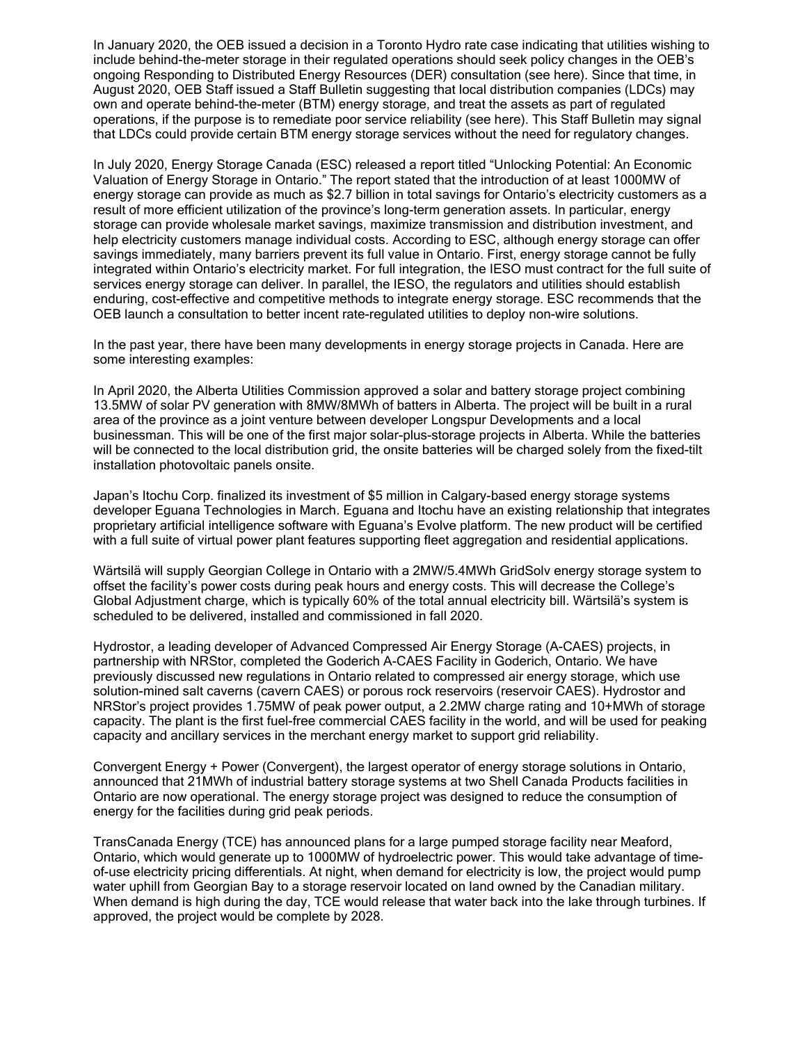In January 2020, the OEB issued a decision in a Toronto Hydro rate case indicating that utilities wishing to include behind-the-meter storage in their regulated operations should seek policy changes in the OEB's ongoing Responding to Distributed Energy Resources (DER) consultation (see [here](https://www.airdberlis.com/insights/blogs/energyinsider/post/ei-item/oeb-decision-confirms-policy-and-treatment-of-behind-the-meter-storage-is-a-topic-for-the-responding-to-ders-consultation)). Since that time, in August 2020, OEB Staff issued a Staff Bulletin suggesting that local distribution companies (LDCs) may own and operate behind-the-meter (BTM) energy storage, and treat the assets as part of regulated operations, if the purpose is to remediate poor service reliability (see [here](https://www.airdberlis.com/insights/blogs/energyinsider/post/ei-item/oeb-staff-bulletin-opens-door-for-ldcs-to-own-behind-the-meter-storage-assets-in-regulated-operations)). This Staff Bulletin may signal that LDCs could provide certain BTM energy storage services without the need for regulatory changes.

In July 2020, Energy Storage Canada (ESC) released a report titled "Unlocking Potential: An [Economic](https://static1.squarespace.com/static/54485dc4e4b0f7bd2239a06b/t/5f11ca45f37fcb7b7e77584a/1595001417141/nlocking+Potential+-+An+Economic+Valuation+of+Energy+Storage+in+Ontario+%28July+2020%29.pdf) [Valuation](https://static1.squarespace.com/static/54485dc4e4b0f7bd2239a06b/t/5f11ca45f37fcb7b7e77584a/1595001417141/nlocking+Potential+-+An+Economic+Valuation+of+Energy+Storage+in+Ontario+%28July+2020%29.pdf) of Energy Storage in Ontario." The report stated that the introduction of at least 1000MW of energy storage can provide as much as \$2.7 billion in total savings for Ontario's electricity customers as a result of more efficient utilization of the province's long-term generation assets. In particular, energy storage can provide wholesale market savings, maximize transmission and distribution investment, and help electricity customers manage individual costs. According to ESC, although energy storage can offer savings immediately, many barriers prevent its full value in Ontario. First, energy storage cannot be fully integrated within Ontario's electricity market. For full integration, the IESO must contract for the full suite of services energy storage can deliver. In parallel, the IESO, the regulators and utilities should establish enduring, cost-effective and competitive methods to integrate energy storage. ESC recommends that the OEB launch a consultation to better incent rate-regulated utilities to deploy non-wire solutions.

In the past year, there have been many developments in energy storage projects in Canada. Here are some interesting examples:

In April 2020, the Alberta Utilities Commission approved a solar and battery [storage](https://www.energy-storage.news/news/alberta-utilities-commission-approves-solar-plus-storage-project-as-in-the) project combining 13.5MW of solar PV generation with 8MW/8MWh of batters in Alberta. The project will be built in a rural area of the province as a joint venture between developer Longspur Developments and a local businessman. This will be one of the first major solar-plus-storage projects in Alberta. While the batteries will be connected to the local distribution grid, the onsite batteries will be charged solely from the fixed-tilt installation photovoltaic panels onsite.

Japan's Itochu Corp. finalized its [investment](https://renewablesnow.com/news/itochu-finalises-investment-in-energy-storage-firm-eguana-690963/) of \$5 million in Calgary-based energy storage systems developer Eguana Technologies in March. Eguana and Itochu have an existing relationship that integrates proprietary artificial intelligence software with Eguana's Evolve platform. The new product will be certified with a full suite of virtual power plant features supporting fleet aggregation and residential applications.

Wärtsilä will supply Georgian College in Ontario with a 2MW/5.4MWh [GridSolv](https://www.wartsila.com/media/news/24-04-2020-wartsila-energy-storage-solution-will-minimise-canadian-college-s-global-adjustment-charge-2694285) energy storage system to offset the facility's power costs during peak hours and energy costs. This will decrease the College's Global Adjustment charge, which is typically 60% of the total annual electricity bill. Wärtsilä's system is scheduled to be delivered, installed and commissioned in fall 2020.

Hydrostor, a leading developer of Advanced Compressed Air Energy Storage (A-CAES) projects, in partnership with NRStor, [completed](http://nrstor.com/2019/11/25/hydrostor-and-nrstor-announce-completion-of-worlds-first-commercial-advanced-caes-facility/) the Goderich A-CAES Facility in Goderich, Ontario. We [have](https://www.airdberlis.com/insights/blogs/energyinsider/post/ei-item/proposed-regulation-of-compressed-air-energy-storage-in-ontario) [previously](https://www.airdberlis.com/insights/blogs/energyinsider/post/ei-item/proposed-regulation-of-compressed-air-energy-storage-in-ontario) discussed new regulations in Ontario related to compressed air energy storage, which use solution-mined salt caverns (cavern CAES) or porous rock reservoirs (reservoir CAES). Hydrostor and NRStor's project provides 1.75MW of peak power output, a 2.2MW charge rating and 10+MWh of storage capacity. The plant is the first fuel-free commercial CAES facility in the world, and will be used for peaking capacity and ancillary services in the merchant energy market to support grid reliability.

Convergent Energy + Power [\(Convergent\)](https://www.convergentep.com/shell/), the largest operator of energy storage solutions in Ontario, announced that 21MWh of industrial battery storage systems at two Shell Canada Products facilities in Ontario are now operational. The energy storage project was designed to reduce the consumption of energy for the facilities during grid peak periods.

TransCanada Energy (TCE) has [announced](https://www.tcenergy.com/operations/power/pumped-storage-project/) plans for a large pumped storage facility near Meaford, Ontario, which would generate up to 1000MW of hydroelectric power. This would take advantage of timeof-use electricity pricing differentials. At night, when demand for electricity is low, the project would pump water uphill from Georgian Bay to a storage reservoir located on land owned by the Canadian military. When demand is high during the day, TCE would release that water back into the lake through turbines. If approved, the project would be complete by 2028.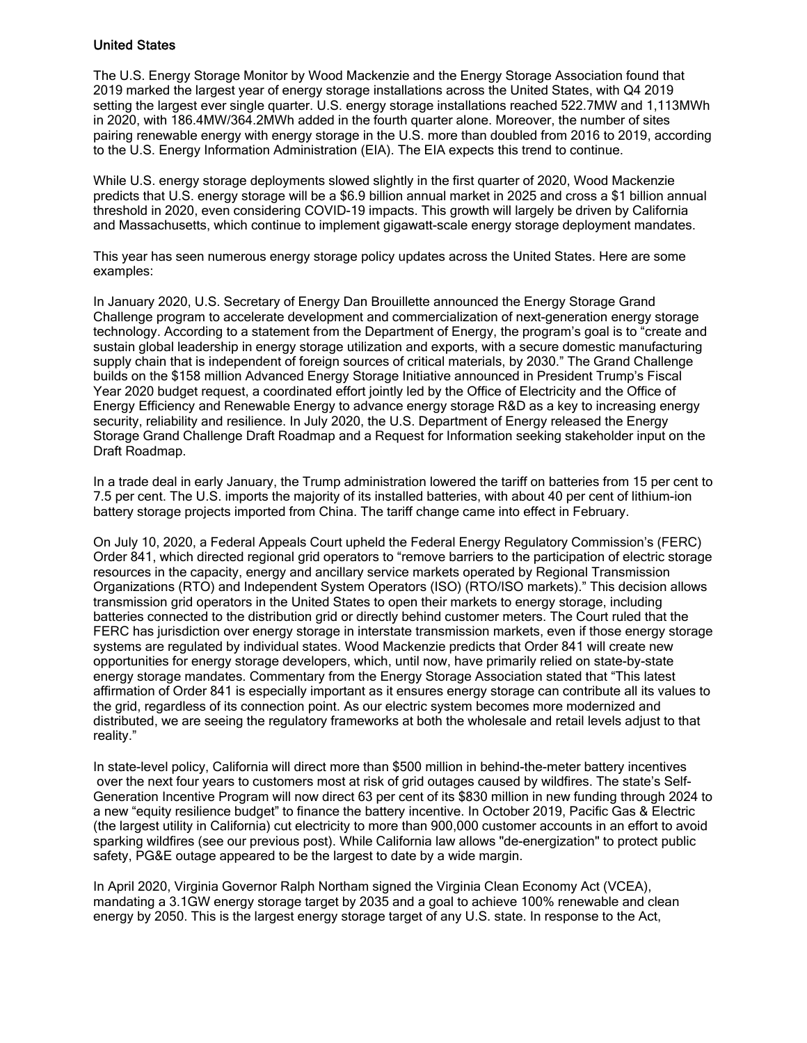#### United States

The U.S. Energy Storage Monitor by Wood Mackenzie and the Energy Storage [Association](https://www.woodmac.com/research/products/power-and-renewables/energy-storage-service/) found that 2019 marked the largest year of energy storage installations across the United States, with Q4 2019 setting the largest ever single quarter. U.S. energy storage installations reached 522.7MW and 1,113MWh in 2020, with 186.4MW/364.2MWh added in the fourth quarter alone. Moreover, the number of sites pairing renewable energy with energy storage in the U.S. more than doubled from 2016 to 2019, according to the U.S. Energy Information [Administration](https://www.eia.gov/todayinenergy/detail.php) (EIA). The EIA expects this trend to continue.

While U.S. energy storage deployments slowed slightly in the first quarter of 2020, Wood [Mackenzie](https://www.woodmac.com/research/products/power-and-renewables/energy-storage-service/) [predicts](https://www.woodmac.com/research/products/power-and-renewables/energy-storage-service/) that U.S. energy storage will be a \$6.9 billion annual market in 2025 and cross a \$1 billion annual threshold in 2020, even considering COVID-19 impacts. This growth will largely be driven by California and Massachusetts, which continue to implement gigawatt-scale energy storage deployment mandates.

This year has seen numerous energy storage policy updates across the United States. Here are some examples:

In January 2020, U.S. Secretary of Energy Dan Brouillette announced the Energy [Storage](https://www.energy.gov/articles/us-department-energy-launches-energy-storage-grand-challenge) Grand [Challenge](https://www.energy.gov/articles/us-department-energy-launches-energy-storage-grand-challenge) program to accelerate development and commercialization of next-generation energy storage technology. According to a statement from the Department of Energy, the program's goal is to "create and sustain global leadership in energy storage utilization and exports, with a secure domestic manufacturing supply chain that is independent of foreign sources of critical materials, by 2030." The Grand Challenge builds on the \$158 million [Advanced](https://www.energy.gov/sites/prod/files/2019/03/f60/doe-fy2020-budget-in-brief_0.pdf) Energy Storage Initiative announced in President Trump's Fiscal Year 2020 budget request, a coordinated effort jointly led by the Office of Electricity and the Office of Energy Efficiency and Renewable Energy to advance energy storage R&D as a key to increasing energy security, reliability and resilience. In July 2020, the U.S. Department of Energy released the Energy Storage Grand Challenge Draft [Roadmap](https://www.energy.gov/sites/prod/files/2020/07/f76/ESGC%20Draft%20Roadmap_2.pdf) and a Request for Information seeking [stakeholder](https://www.energy.gov/energy-storage-grand-challenge/downloads/energy-storage-grand-challenge-draft-roadmap) input on the Draft Roadmap.

In a trade deal in early January, the Trump administration lowered the tariff on [batteries](https://ustr.gov/sites/default/files/enforcement/301Investigations/Notice_of_Modification-January_2020.pdf) from 15 per cent to 7.5 per cent. The U.S. imports the majority of its installed batteries, with about 40 per cent of lithium-ion battery storage projects imported from China. The tariff change came into effect in February.

On July 10, 2020, a Federal [Appeals](https://www.cadc.uscourts.gov/internet/opinions.nsf/E12B1903B0477E21852585A1005264D7/%24file/19-1142-1851001.pdf) Court upheld the Federal Energy Regulatory Commission's (FERC) [Order](https://www.federalregister.gov/documents/2018/03/06/2018-03708/electric-storage-participation-in-markets-operated-by-regional-transmission-organizations-and) 841, which directed regional grid operators to "remove barriers to the participation of electric storage resources in the capacity, energy and ancillary service markets operated by Regional Transmission Organizations (RTO) and Independent System Operators (ISO) (RTO/ISO markets)." This decision allows transmission grid operators in the United States to open their markets to energy storage, including batteries connected to the distribution grid or directly behind customer meters. The Court ruled that the FERC has jurisdiction over energy storage in interstate transmission markets, even if those energy storage systems are regulated by individual states. Wood [Mackenzie](https://www.woodmac.com/reports/power-markets-global-energy-storage-outlook-2019-295618https:/www.greentechmedia.com/articles/read/global-energy-storage-to-hit-158-gigawatt-hours-by-2024-with-u-s-and-china) predicts that Order 841 will create new opportunities for energy storage developers, which, until now, have primarily relied on state-by-state energy storage mandates. Commentary from the Energy Storage Association stated that "This latest affirmation of Order 841 is especially important as it ensures energy storage can contribute all its values to the grid, regardless of its connection point. As our electric system becomes more modernized and distributed, we are seeing the regulatory frameworks at both the wholesale and retail levels adjust to that reality."

In state-level policy, California will direct more than \$500 million in [behind-the-meter](https://docs.cpuc.ca.gov/PublishedDocs/Published/G000/M324/K944/324944818.pdf) battery incentives over the next four years to customers most at risk of grid outages caused by wildfires. The state's Self-Generation Incentive Program will now direct 63 per cent of its \$830 million in new funding through 2024 to a new "equity resilience budget" to finance the battery incentive. In October 2019, Pacific Gas & Electric (the largest utility in California) cut electricity to more than 900,000 customer accounts in an effort to avoid sparking wildfires (see our [previous](https://www.airdberlis.com/insights/blogs/energyinsider/post/ei-item/california-electricity-utility-shuts-off-power-to-prevent-sparking-wildfires) post). While California law allows "de-energization" to protect public safety, PG&E outage appeared to be the largest to date by a wide margin.

In April 2020, Virginia Governor Ralph Northam signed the Virginia Clean Economy Act (VCEA), mandating a 3.1GW energy storage target by 2035 and a goal to achieve 100% renewable and clean energy by 2050. This is the largest energy storage target of any U.S. state. In response to the Act,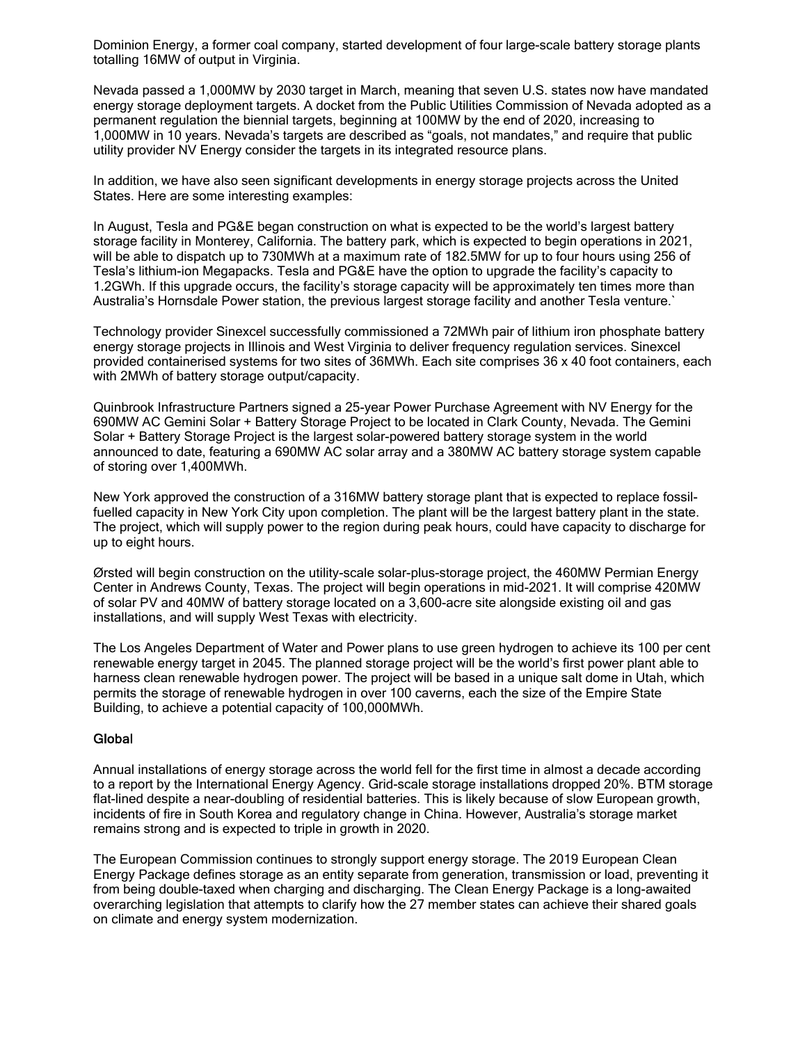Dominion Energy, a former coal company, started development of four [large-scale](https://www.energy-storage.news/news/utility-dominions-life-after-coal-kicks-off-in-virginia) battery storage plants [totalling](https://www.energy-storage.news/news/utility-dominions-life-after-coal-kicks-off-in-virginia) 16MW of output in Virginia.

Nevada passed a [1,000MW](https://www.energy-storage.news/news/nevada-becomes-us-sixth-state-to-adopt-energy-storage-target) by 2030 target in March, meaning that seven U.S. states now have mandated energy storage deployment targets. A docket from the Public Utilities Commission of Nevada adopted as a permanent regulation the biennial targets, beginning at 100MW by the end of 2020, increasing to 1,000MW in 10 years. Nevada's targets are described as "goals, not mandates," and require that public utility provider NV Energy consider the targets in its integrated resource plans.

In addition, we have also seen significant developments in energy storage projects across the United States. Here are some interesting examples:

In August, Tesla and PG&E began construction on what is expected to be the [world's](https://www.forbes.com/sites/arielcohen/2020/08/13/tesla-begins-construction-of-worlds-largest-energy-storage-facility/#72739c744fde) largest battery [storage](https://www.forbes.com/sites/arielcohen/2020/08/13/tesla-begins-construction-of-worlds-largest-energy-storage-facility/#72739c744fde) facility in Monterey, California. The battery park, which is expected to begin operations in 2021, will be able to dispatch up to 730MWh at a maximum rate of 182.5MW for up to four hours using 256 of Tesla's lithium-ion Megapacks. Tesla and PG&E have the option to upgrade the facility's capacity to 1.2GWh. If this upgrade occurs, the facility's storage capacity will be approximately ten times more than Australia's Hornsdale Power station, the previous largest storage facility and another Tesla venture.`

Technology provider Sinexcel successfully commissioned a 72MWh pair of lithium iron [phosphate](http://sinexcel.us/typical-projects) battery energy storage [projects](http://sinexcel.us/typical-projects) in Illinois and West Virginia to deliver frequency regulation services. Sinexcel provided containerised systems for two sites of 36MWh. Each site comprises 36 x 40 foot containers, each with 2MWh of battery storage output/capacity.

Quinbrook Infrastructure Partners signed a 25-year Power Purchase [Agreement](https://www.quinbrook.com/post/quinbrook-signs-landmark-solar-battery-storage-deal-in-the-us) with NV Energy for the 690MW AC Gemini Solar + Battery Storage Project to be located in Clark County, Nevada. The Gemini Solar + Battery Storage Project is the largest solar-powered battery storage system in the world announced to date, featuring a 690MW AC solar array and a 380MW AC battery storage system capable of storing over 1,400MWh.

New York approved the construction of a [316MW](https://www.airdberlis.comfile:///C:/NRPortbl/CM/AOH/New%20York%20approves%20316%20MW%20battery%20plant%20for%20peak%20power,%20first%20of%20its%20kind%20in%20the%20region) battery storage plant that is expected to replace fossilfuelled capacity in New York City upon completion. The plant will be the largest battery plant in the state. The project, which will supply power to the region during peak hours, could have capacity to discharge for up to eight hours.

Ørsted will begin construction on the utility-scale solar-plus-storage project, the 460MW [Permian](https://www.greentechmedia.com/articles/read/orsted-to-build-460mw-solar-plus-storage-plant-in-texas-oil-country) Energy Center in [Andrews](https://www.greentechmedia.com/articles/read/orsted-to-build-460mw-solar-plus-storage-plant-in-texas-oil-country) County, Texas. The project will begin operations in mid-2021. It will comprise 420MW of solar PV and 40MW of battery storage located on a 3,600-acre site alongside existing oil and gas installations, and will supply West Texas with electricity.

The Los Angeles Department of Water and Power plans to use green hydrogen to achieve its 100 per cent renewable energy target in 2045. The planned storage project will be the [world's](http://www.ladwpintake.com/the-future-of-ipp-is-green/) first power plant able to harness clean [renewable](http://www.ladwpintake.com/the-future-of-ipp-is-green/) hydrogen power. The project will be based in a unique salt dome in Utah, which permits the storage of renewable hydrogen in over 100 caverns, each the size of the Empire State Building, to achieve a potential capacity of 100,000MWh.

#### **Global**

Annual installations of energy storage across the world fell for the [first](https://www.iea.org/reports/energy-storage) time in almost a decade according to a report by the International Energy Agency. Grid-scale storage installations dropped 20%. BTM storage flat-lined despite a near-doubling of residential batteries. This is likely because of slow European growth, incidents of fire in South Korea and regulatory change in China. However, Australia's storage market remains strong and is expected to triple in growth in 2020.

The European Commission continues to [strongly](https://ec.europa.eu/energy/topics/technology-and-innovation/energy-storage_en) support energy storage. The 2019 [European](https://ec.europa.eu/energy/topics/energy-strategy/clean-energy-all-europeans_en) Clean Energy [Package](https://ec.europa.eu/energy/topics/energy-strategy/clean-energy-all-europeans_en) defines storage as an entity separate from generation, transmission or load, preventing it from being double-taxed when charging and discharging. The Clean Energy Package is a long-awaited overarching legislation that attempts to clarify how the 27 member states can achieve their shared goals on climate and energy system modernization.